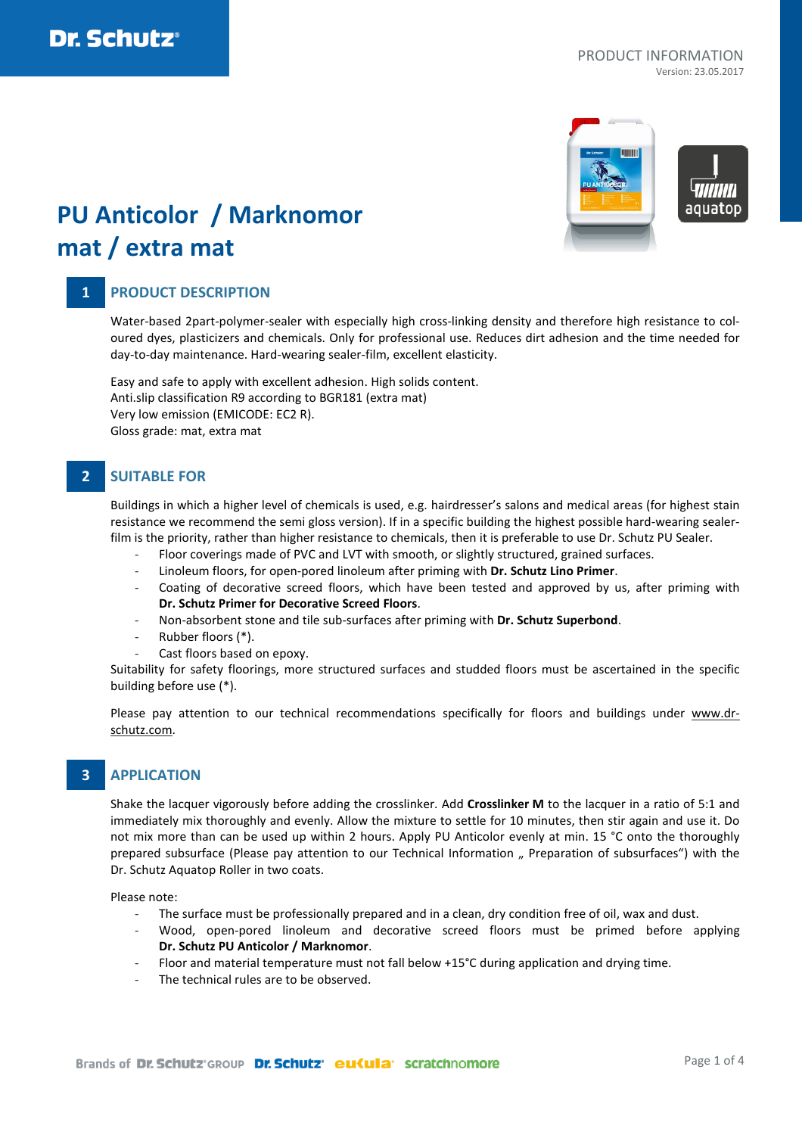

# **PU Anticolor / Marknomor mat / extra mat**

# **1 PRODUCT DESCRIPTION**

Water-based 2part-polymer-sealer with especially high cross-linking density and therefore high resistance to coloured dyes, plasticizers and chemicals. Only for professional use. Reduces dirt adhesion and the time needed for day-to-day maintenance. Hard-wearing sealer-film, excellent elasticity.

Easy and safe to apply with excellent adhesion. High solids content. Anti.slip classification R9 according to BGR181 (extra mat) Very low emission (EMICODE: EC2 R). Gloss grade: mat, extra mat

## **2 SUITABLE FOR**

Buildings in which a higher level of chemicals is used, e.g. hairdresser's salons and medical areas (for highest stain resistance we recommend the semi gloss version). If in a specific building the highest possible hard-wearing sealerfilm is the priority, rather than higher resistance to chemicals, then it is preferable to use Dr. Schutz PU Sealer.

- Floor coverings made of PVC and LVT with smooth, or slightly structured, grained surfaces.
- Linoleum floors, for open-pored linoleum after priming with **Dr. Schutz Lino Primer**.
- Coating of decorative screed floors, which have been tested and approved by us, after priming with **Dr. Schutz Primer for Decorative Screed Floors**.
- Non-absorbent stone and tile sub-surfaces after priming with **Dr. Schutz Superbond**.
- Rubber floors (\*).
- Cast floors based on epoxy.

Suitability for safety floorings, more structured surfaces and studded floors must be ascertained in the specific building before use (\*).

Please pay attention to our technical recommendations specifically for floors and buildings under [www.dr](http://www.dr-schutz.com/)[schutz.com.](http://www.dr-schutz.com/)

## **3 APPLICATION**

Shake the lacquer vigorously before adding the crosslinker. Add **Crosslinker M** to the lacquer in a ratio of 5:1 and immediately mix thoroughly and evenly. Allow the mixture to settle for 10 minutes, then stir again and use it. Do not mix more than can be used up within 2 hours. Apply PU Anticolor evenly at min. 15 °C onto the thoroughly prepared subsurface (Please pay attention to our Technical Information " Preparation of subsurfaces") with the Dr. Schutz Aquatop Roller in two coats.

Please note:

- The surface must be professionally prepared and in a clean, dry condition free of oil, wax and dust.
- Wood, open-pored linoleum and decorative screed floors must be primed before applying **Dr. Schutz PU Anticolor / Marknomor**.
- Floor and material temperature must not fall below +15°C during application and drying time.
- The technical rules are to be observed.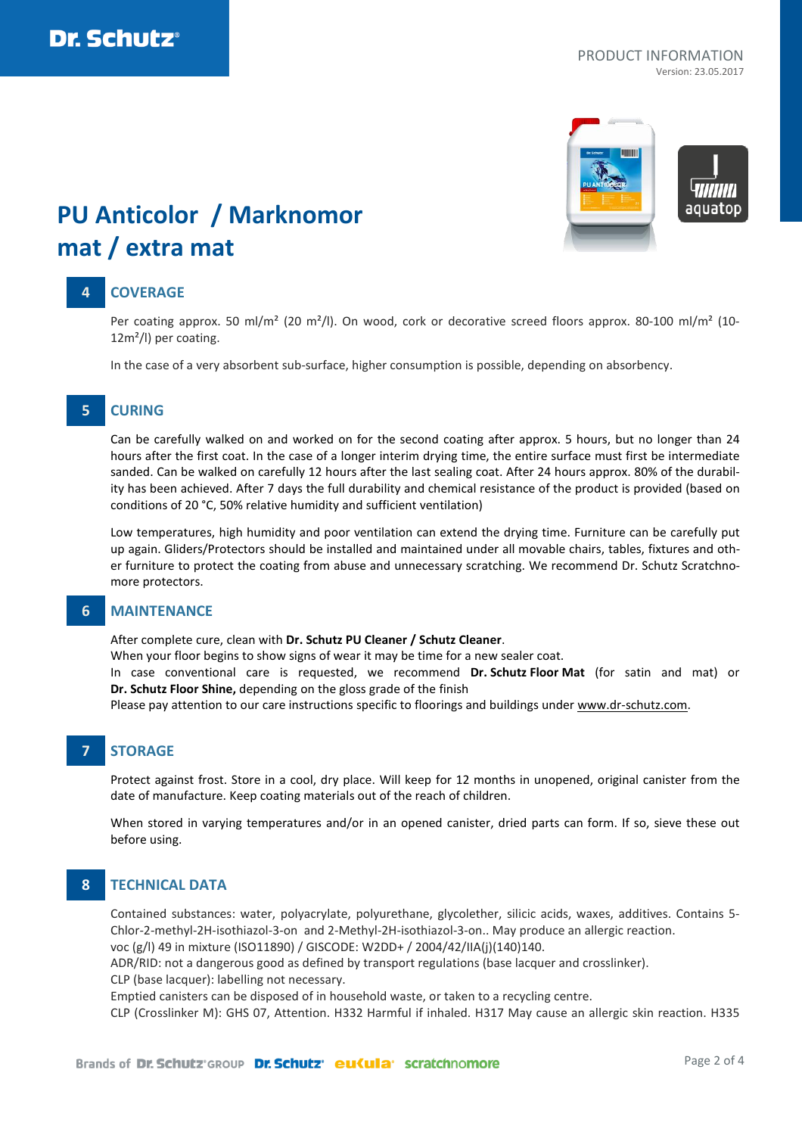

# **PU Anticolor / Marknomor mat / extra mat**

## **4 COVERAGE**

Per coating approx. 50 ml/m<sup>2</sup> (20 m<sup>2</sup>/l). On wood, cork or decorative screed floors approx. 80-100 ml/m<sup>2</sup> (10-12m²/l) per coating.

In the case of a very absorbent sub-surface, higher consumption is possible, depending on absorbency.

### **5 CURING**

Can be carefully walked on and worked on for the second coating after approx. 5 hours, but no longer than 24 hours after the first coat. In the case of a longer interim drying time, the entire surface must first be intermediate sanded. Can be walked on carefully 12 hours after the last sealing coat. After 24 hours approx. 80% of the durability has been achieved. After 7 days the full durability and chemical resistance of the product is provided (based on conditions of 20 °C, 50% relative humidity and sufficient ventilation)

Low temperatures, high humidity and poor ventilation can extend the drying time. Furniture can be carefully put up again. Gliders/Protectors should be installed and maintained under all movable chairs, tables, fixtures and other furniture to protect the coating from abuse and unnecessary scratching. We recommend Dr. Schutz Scratchnomore protectors.

### **6 MAINTENANCE**

After complete cure, clean with **Dr. Schutz PU Cleaner / Schutz Cleaner**.

When your floor begins to show signs of wear it may be time for a new sealer coat.

In case conventional care is requested, we recommend **Dr. Schutz Floor Mat** (for satin and mat) or **Dr. Schutz Floor Shine,** depending on the gloss grade of the finish

Please pay attention to our care instructions specific to floorings and buildings under [www.dr-schutz.com.](http://www.dr-schutz.com/)

# **7 STORAGE**

Protect against frost. Store in a cool, dry place. Will keep for 12 months in unopened, original canister from the date of manufacture. Keep coating materials out of the reach of children.

When stored in varying temperatures and/or in an opened canister, dried parts can form. If so, sieve these out before using.

### **8 TECHNICAL DATA**

Contained substances: water, polyacrylate, polyurethane, glycolether, silicic acids, waxes, additives. Contains 5- Chlor-2-methyl-2H-isothiazol-3-on and 2-Methyl-2H-isothiazol-3-on.. May produce an allergic reaction.

voc (g/l) 49 in mixture (ISO11890) / GISCODE: W2DD+ / 2004/42/IIA(j)(140)140.

ADR/RID: not a dangerous good as defined by transport regulations (base lacquer and crosslinker).

CLP (base lacquer): labelling not necessary.

Emptied canisters can be disposed of in household waste, or taken to a recycling centre.

CLP (Crosslinker M): GHS 07, Attention. H332 Harmful if inhaled. H317 May cause an allergic skin reaction. H335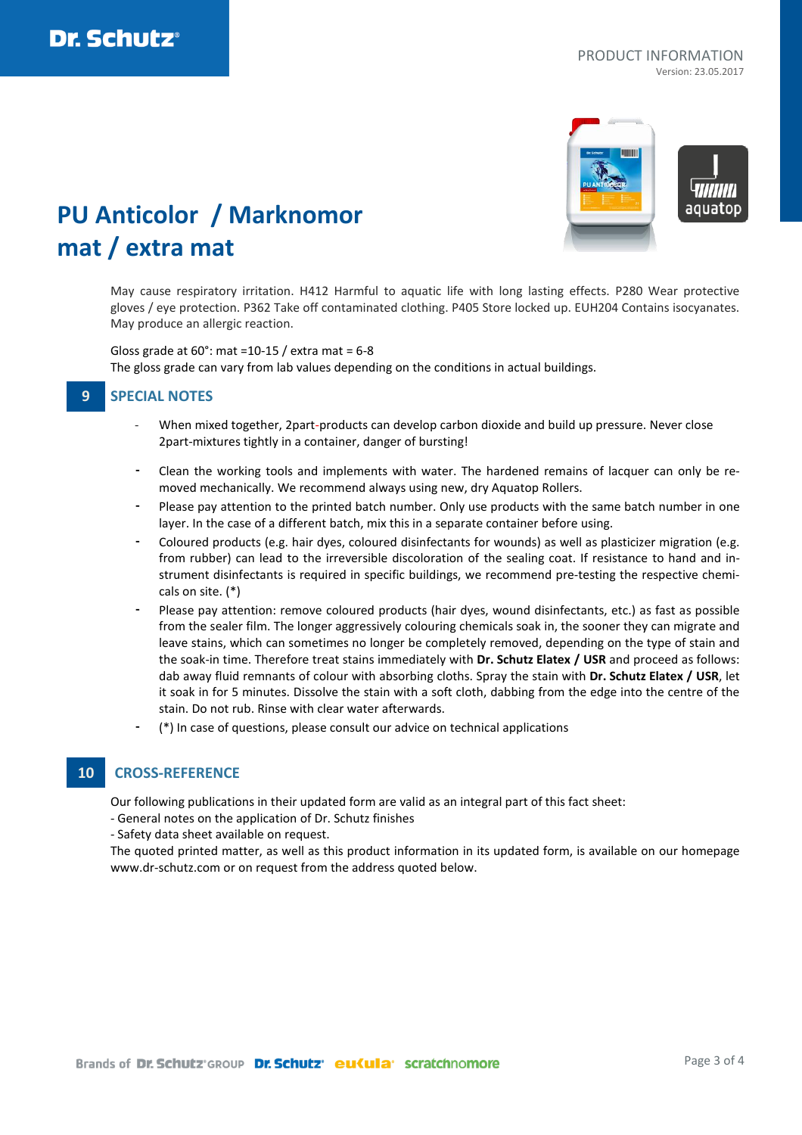aguator

# **PU Anticolor / Marknomor mat / extra mat**

May cause respiratory irritation. H412 Harmful to aquatic life with long lasting effects. P280 Wear protective gloves / eye protection. P362 Take off contaminated clothing. P405 Store locked up. EUH204 Contains isocyanates. May produce an allergic reaction.

Gloss grade at  $60^\circ$ : mat =10-15 / extra mat =  $6-8$ The gloss grade can vary from lab values depending on the conditions in actual buildings.

### **9 SPECIAL NOTES**

- When mixed together, 2part-products can develop carbon dioxide and build up pressure. Never close 2part-mixtures tightly in a container, danger of bursting!
- Clean the working tools and implements with water. The hardened remains of lacquer can only be removed mechanically. We recommend always using new, dry Aquatop Rollers.
- Please pay attention to the printed batch number. Only use products with the same batch number in one layer. In the case of a different batch, mix this in a separate container before using.
- Coloured products (e.g. hair dyes, coloured disinfectants for wounds) as well as plasticizer migration (e.g. from rubber) can lead to the irreversible discoloration of the sealing coat. If resistance to hand and instrument disinfectants is required in specific buildings, we recommend pre-testing the respective chemicals on site. (\*)
- Please pay attention: remove coloured products (hair dyes, wound disinfectants, etc.) as fast as possible from the sealer film. The longer aggressively colouring chemicals soak in, the sooner they can migrate and leave stains, which can sometimes no longer be completely removed, depending on the type of stain and the soak-in time. Therefore treat stains immediately with **Dr. Schutz Elatex / USR** and proceed as follows: dab away fluid remnants of colour with absorbing cloths. Spray the stain with **Dr. Schutz Elatex / USR**, let it soak in for 5 minutes. Dissolve the stain with a soft cloth, dabbing from the edge into the centre of the stain. Do not rub. Rinse with clear water afterwards.
- (\*) In case of questions, please consult our advice on technical applications

### **10 CROSS-REFERENCE**

Our following publications in their updated form are valid as an integral part of this fact sheet:

- General notes on the application of Dr. Schutz finishes

- Safety data sheet available on request.

The quoted printed matter, as well as this product information in its updated form, is available on our homepage www.dr-schutz.com or on request from the address quoted below.